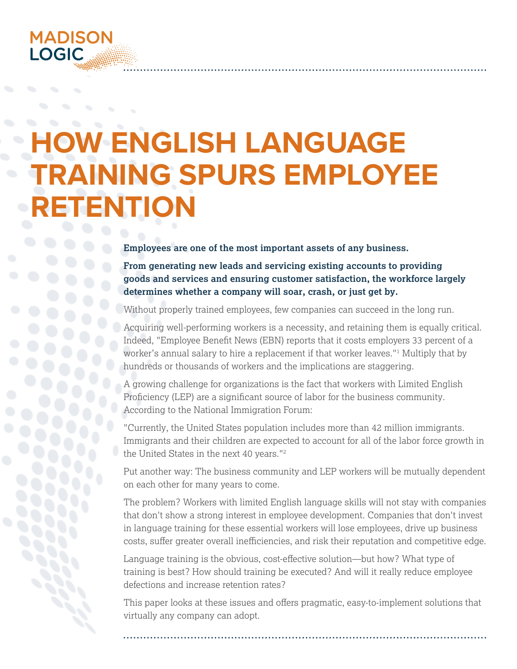

# **W-ENGLISH LANGUAGE TRAINING SPURS EMPLOYEE RETENTION**

**Employees are one of the most important assets of any business.**

**From generating new leads and servicing existing accounts to providing goods and services and ensuring customer satisfaction, the workforce largely determines whether a company will soar, crash, or just get by.**

Without properly trained employees, few companies can succeed in the long run.

Acquiring well-performing workers is a necessity, and retaining them is equally critical. Indeed, "Employee Benefit News (EBN) reports that it costs employers 33 percent of a worker's annual salary to hire a replacement if that worker leaves."1 Multiply that by hundreds or thousands of workers and the implications are staggering.

A growing challenge for organizations is the fact that workers with Limited English Proficiency (LEP) are a significant source of labor for the business community. According to the National Immigration Forum:

"Currently, the United States population includes more than 42 million immigrants. Immigrants and their children are expected to account for all of the labor force growth in the United States in the next 40 years."<sup>2</sup>

Put another way: The business community and LEP workers will be mutually dependent on each other for many years to come.

The problem? Workers with limited English language skills will not stay with companies that don't show a strong interest in employee development. Companies that don't invest in language training for these essential workers will lose employees, drive up business costs, suffer greater overall inefficiencies, and risk their reputation and competitive edge.

Language training is the obvious, cost-effective solution—but how? What type of training is best? How should training be executed? And will it really reduce employee defections and increase retention rates?

This paper looks at these issues and offers pragmatic, easy-to-implement solutions that virtually any company can adopt.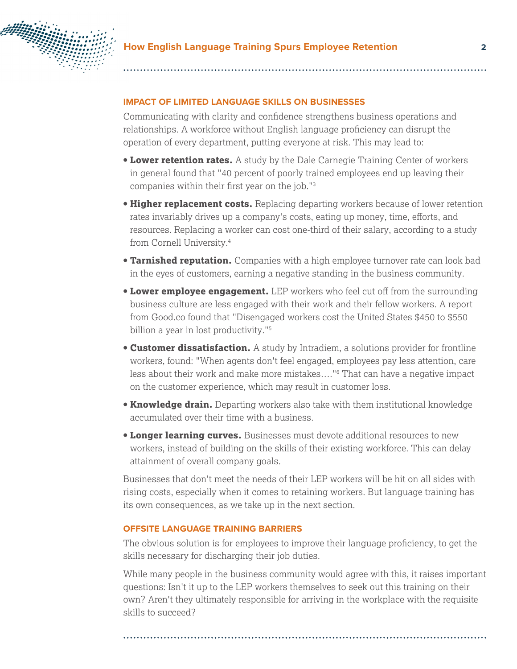

#### **IMPACT OF LIMITED LANGUAGE SKILLS ON BUSINESSES**

Communicating with clarity and confidence strengthens business operations and relationships. A workforce without English language proficiency can disrupt the operation of every department, putting everyone at risk. This may lead to:

- **Lower retention rates.** A study by the Dale Carnegie Training Center of workers in general found that "40 percent of poorly trained employees end up leaving their companies within their first year on the job."3
- **Higher replacement costs.** Replacing departing workers because of lower retention rates invariably drives up a company's costs, eating up money, time, efforts, and resources. Replacing a worker can cost one-third of their salary, according to a study from Cornell University.4
- **Tarnished reputation.** Companies with a high employee turnover rate can look bad in the eyes of customers, earning a negative standing in the business community.
- **Lower employee engagement.** LEP workers who feel cut off from the surrounding business culture are less engaged with their work and their fellow workers. A report from Good.co found that "Disengaged workers cost the United States \$450 to \$550 billion a year in lost productivity."<sup>5</sup>
- **Customer dissatisfaction.** A study by Intradiem, a solutions provider for frontline workers, found: "When agents don't feel engaged, employees pay less attention, care less about their work and make more mistakes…."6 That can have a negative impact on the customer experience, which may result in customer loss.
- **Knowledge drain.** Departing workers also take with them institutional knowledge accumulated over their time with a business.
- **Longer learning curves.** Businesses must devote additional resources to new workers, instead of building on the skills of their existing workforce. This can delay attainment of overall company goals.

Businesses that don't meet the needs of their LEP workers will be hit on all sides with rising costs, especially when it comes to retaining workers. But language training has its own consequences, as we take up in the next section.

#### **OFFSITE LANGUAGE TRAINING BARRIERS**

The obvious solution is for employees to improve their language proficiency, to get the skills necessary for discharging their job duties.

While many people in the business community would agree with this, it raises important questions: Isn't it up to the LEP workers themselves to seek out this training on their own? Aren't they ultimately responsible for arriving in the workplace with the requisite skills to succeed?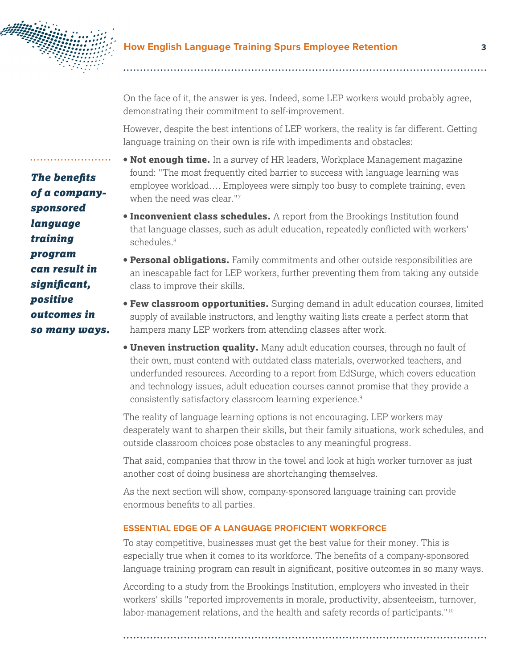

On the face of it, the answer is yes. Indeed, some LEP workers would probably agree, demonstrating their commitment to self-improvement.

However, despite the best intentions of LEP workers, the reality is far different. Getting language training on their own is rife with impediments and obstacles:

- **Not enough time.** In a survey of HR leaders, Workplace Management magazine found: "The most frequently cited barrier to success with language learning was employee workload…. Employees were simply too busy to complete training, even when the need was clear."<sup>7</sup>
- **Inconvenient class schedules.** A report from the Brookings Institution found that language classes, such as adult education, repeatedly conflicted with workers' schedules.<sup>8</sup>
- **Personal obligations.** Family commitments and other outside responsibilities are an inescapable fact for LEP workers, further preventing them from taking any outside class to improve their skills.
- **Few classroom opportunities.** Surging demand in adult education courses, limited supply of available instructors, and lengthy waiting lists create a perfect storm that hampers many LEP workers from attending classes after work.
- **Uneven instruction quality.** Many adult education courses, through no fault of their own, must contend with outdated class materials, overworked teachers, and underfunded resources. According to a report from EdSurge, which covers education and technology issues, adult education courses cannot promise that they provide a consistently satisfactory classroom learning experience.9

The reality of language learning options is not encouraging. LEP workers may desperately want to sharpen their skills, but their family situations, work schedules, and outside classroom choices pose obstacles to any meaningful progress.

That said, companies that throw in the towel and look at high worker turnover as just another cost of doing business are shortchanging themselves.

As the next section will show, company-sponsored language training can provide enormous benefits to all parties.

## **ESSENTIAL EDGE OF A LANGUAGE PROFICIENT WORKFORCE**

To stay competitive, businesses must get the best value for their money. This is especially true when it comes to its workforce. The benefits of a company-sponsored language training program can result in significant, positive outcomes in so many ways.

According to a study from the Brookings Institution, employers who invested in their workers' skills "reported improvements in morale, productivity, absenteeism, turnover, labor-management relations, and the health and safety records of participants."<sup>10</sup>

*The benefits of a companysponsored language training program can result in significant, positive outcomes in so many ways.*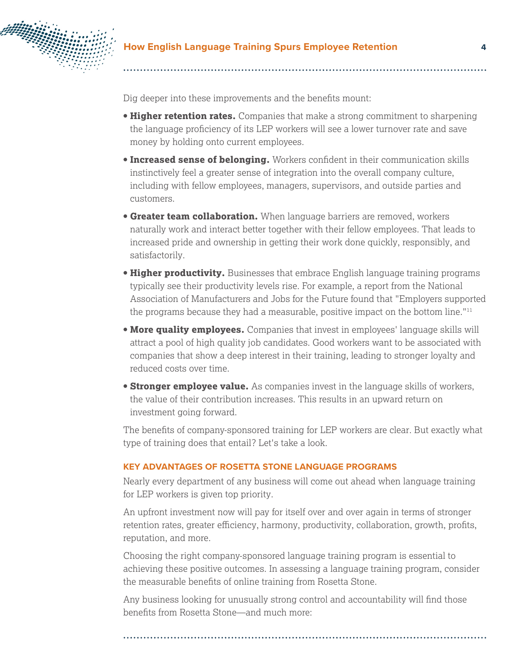

Dig deeper into these improvements and the benefits mount:

- **Higher retention rates.** Companies that make a strong commitment to sharpening the language proficiency of its LEP workers will see a lower turnover rate and save money by holding onto current employees.
- **Increased sense of belonging.** Workers confident in their communication skills instinctively feel a greater sense of integration into the overall company culture, including with fellow employees, managers, supervisors, and outside parties and customers.
- **Greater team collaboration.** When language barriers are removed, workers naturally work and interact better together with their fellow employees. That leads to increased pride and ownership in getting their work done quickly, responsibly, and satisfactorily.
- **Higher productivity.** Businesses that embrace English language training programs typically see their productivity levels rise. For example, a report from the National Association of Manufacturers and Jobs for the Future found that "Employers supported the programs because they had a measurable, positive impact on the bottom line." $11$
- **More quality employees.** Companies that invest in employees' language skills will attract a pool of high quality job candidates. Good workers want to be associated with companies that show a deep interest in their training, leading to stronger loyalty and reduced costs over time.
- **Stronger employee value.** As companies invest in the language skills of workers, the value of their contribution increases. This results in an upward return on investment going forward.

The benefits of company-sponsored training for LEP workers are clear. But exactly what type of training does that entail? Let's take a look.

#### **KEY ADVANTAGES OF ROSETTA STONE LANGUAGE PROGRAMS**

Nearly every department of any business will come out ahead when language training for LEP workers is given top priority.

An upfront investment now will pay for itself over and over again in terms of stronger retention rates, greater efficiency, harmony, productivity, collaboration, growth, profits, reputation, and more.

Choosing the right company-sponsored language training program is essential to achieving these positive outcomes. In assessing a language training program, consider the measurable benefits of online training from Rosetta Stone.

Any business looking for unusually strong control and accountability will find those benefits from Rosetta Stone—and much more: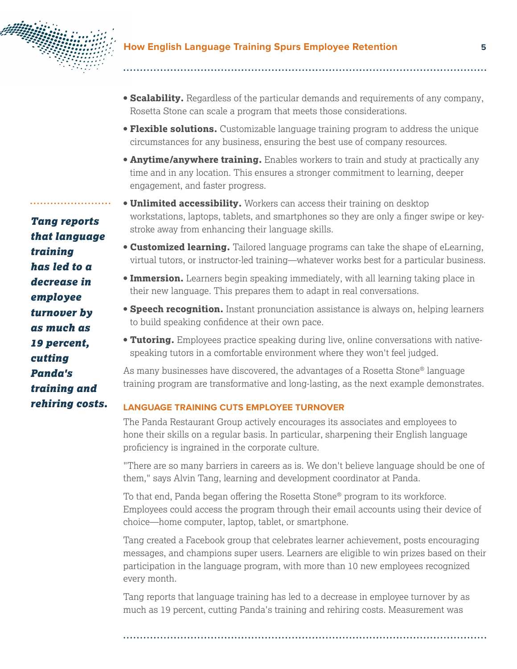

- **Scalability.** Regardless of the particular demands and requirements of any company, Rosetta Stone can scale a program that meets those considerations.
- **Flexible solutions.** Customizable language training program to address the unique circumstances for any business, ensuring the best use of company resources.
- **Anytime/anywhere training.** Enables workers to train and study at practically any time and in any location. This ensures a stronger commitment to learning, deeper engagement, and faster progress.
- **Unlimited accessibility.** Workers can access their training on desktop workstations, laptops, tablets, and smartphones so they are only a finger swipe or keystroke away from enhancing their language skills.
- **Customized learning.** Tailored language programs can take the shape of eLearning, virtual tutors, or instructor-led training—whatever works best for a particular business.
- **Immersion.** Learners begin speaking immediately, with all learning taking place in their new language. This prepares them to adapt in real conversations.
- **Speech recognition.** Instant pronunciation assistance is always on, helping learners to build speaking confidence at their own pace.
- **Tutoring.** Employees practice speaking during live, online conversations with nativespeaking tutors in a comfortable environment where they won't feel judged.

As many businesses have discovered, the advantages of a Rosetta Stone® language training program are transformative and long-lasting, as the next example demonstrates.

#### **LANGUAGE TRAINING CUTS EMPLOYEE TURNOVER**

The Panda Restaurant Group actively encourages its associates and employees to hone their skills on a regular basis. In particular, sharpening their English language proficiency is ingrained in the corporate culture.

"There are so many barriers in careers as is. We don't believe language should be one of them," says Alvin Tang, learning and development coordinator at Panda.

To that end, Panda began offering the Rosetta Stone® program to its workforce. Employees could access the program through their email accounts using their device of choice—home computer, laptop, tablet, or smartphone.

Tang created a Facebook group that celebrates learner achievement, posts encouraging messages, and champions super users. Learners are eligible to win prizes based on their participation in the language program, with more than 10 new employees recognized every month.

Tang reports that language training has led to a decrease in employee turnover by as much as 19 percent, cutting Panda's training and rehiring costs. Measurement was

*Tang reports that language training has led to a decrease in employee turnover by as much as 19 percent, cutting Panda's training and rehiring costs.*